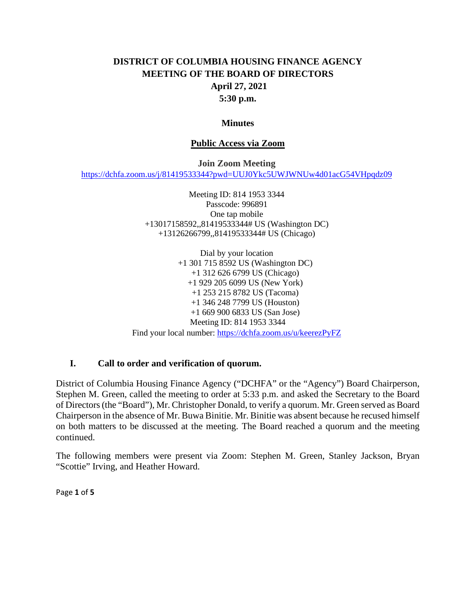# **DISTRICT OF COLUMBIA HOUSING FINANCE AGENCY MEETING OF THE BOARD OF DIRECTORS April 27, 2021 5:30 p.m.**

#### **Minutes**

#### **Public Access via Zoom**

**Join Zoom Meeting**

<https://dchfa.zoom.us/j/81419533344?pwd=UUJ0Ykc5UWJWNUw4d01acG54VHpqdz09>

Meeting ID: 814 1953 3344 Passcode: 996891 One tap mobile +13017158592,,81419533344# US (Washington DC) +13126266799,,81419533344# US (Chicago)

Dial by your location +1 301 715 8592 US (Washington DC) +1 312 626 6799 US (Chicago) +1 929 205 6099 US (New York) +1 253 215 8782 US (Tacoma) +1 346 248 7799 US (Houston) +1 669 900 6833 US (San Jose) Meeting ID: 814 1953 3344 Find your local number: <https://dchfa.zoom.us/u/keerezPyFZ>

### **I. Call to order and verification of quorum.**

District of Columbia Housing Finance Agency ("DCHFA" or the "Agency") Board Chairperson, Stephen M. Green, called the meeting to order at 5:33 p.m. and asked the Secretary to the Board of Directors (the "Board"), Mr. Christopher Donald, to verify a quorum. Mr. Green served as Board Chairperson in the absence of Mr. Buwa Binitie. Mr. Binitie was absent because he recused himself on both matters to be discussed at the meeting. The Board reached a quorum and the meeting continued.

The following members were present via Zoom: Stephen M. Green, Stanley Jackson, Bryan "Scottie" Irving, and Heather Howard.

Page **1** of **5**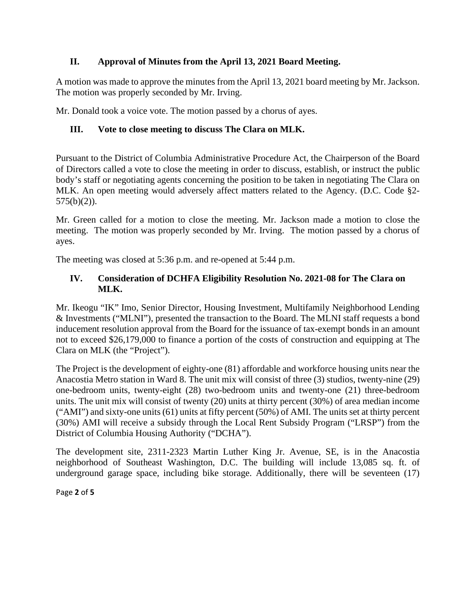# **II. Approval of Minutes from the April 13, 2021 Board Meeting.**

A motion was made to approve the minutes from the April 13, 2021 board meeting by Mr. Jackson. The motion was properly seconded by Mr. Irving.

Mr. Donald took a voice vote. The motion passed by a chorus of ayes.

# **III. Vote to close meeting to discuss The Clara on MLK.**

Pursuant to the District of Columbia Administrative Procedure Act, the Chairperson of the Board of Directors called a vote to close the meeting in order to discuss, establish, or instruct the public body's staff or negotiating agents concerning the position to be taken in negotiating The Clara on MLK. An open meeting would adversely affect matters related to the Agency. (D.C. Code §2-  $575(b)(2)$ ).

Mr. Green called for a motion to close the meeting. Mr. Jackson made a motion to close the meeting. The motion was properly seconded by Mr. Irving. The motion passed by a chorus of ayes.

The meeting was closed at 5:36 p.m. and re-opened at 5:44 p.m.

# **IV. Consideration of DCHFA Eligibility Resolution No. 2021-08 for The Clara on MLK.**

Mr. Ikeogu "IK" Imo, Senior Director, Housing Investment, Multifamily Neighborhood Lending & Investments ("MLNI"), presented the transaction to the Board. The MLNI staff requests a bond inducement resolution approval from the Board for the issuance of tax-exempt bonds in an amount not to exceed \$26,179,000 to finance a portion of the costs of construction and equipping at The Clara on MLK (the "Project").

The Project is the development of eighty-one (81) affordable and workforce housing units near the Anacostia Metro station in Ward 8. The unit mix will consist of three (3) studios, twenty-nine (29) one-bedroom units, twenty-eight (28) two-bedroom units and twenty-one (21) three-bedroom units. The unit mix will consist of twenty (20) units at thirty percent (30%) of area median income ("AMI") and sixty-one units (61) units at fifty percent (50%) of AMI. The units set at thirty percent (30%) AMI will receive a subsidy through the Local Rent Subsidy Program ("LRSP") from the District of Columbia Housing Authority ("DCHA").

The development site, 2311-2323 Martin Luther King Jr. Avenue, SE, is in the Anacostia neighborhood of Southeast Washington, D.C. The building will include 13,085 sq. ft. of underground garage space, including bike storage. Additionally, there will be seventeen (17)

Page **2** of **5**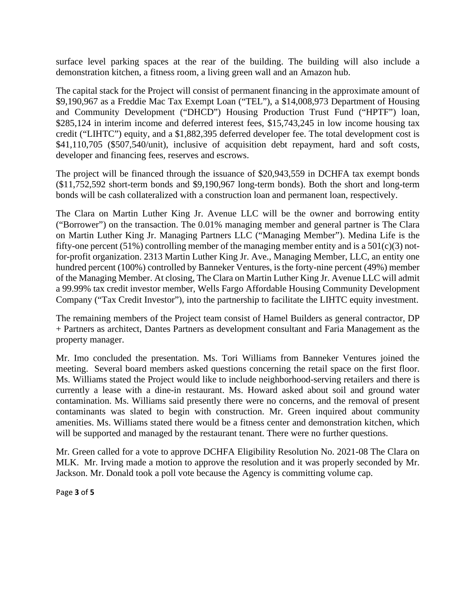surface level parking spaces at the rear of the building. The building will also include a demonstration kitchen, a fitness room, a living green wall and an Amazon hub.

The capital stack for the Project will consist of permanent financing in the approximate amount of \$9,190,967 as a Freddie Mac Tax Exempt Loan ("TEL"), a \$14,008,973 Department of Housing and Community Development ("DHCD") Housing Production Trust Fund ("HPTF") loan, \$285,124 in interim income and deferred interest fees, \$15,743,245 in low income housing tax credit ("LIHTC") equity, and a \$1,882,395 deferred developer fee. The total development cost is \$41,110,705 (\$507,540/unit), inclusive of acquisition debt repayment, hard and soft costs, developer and financing fees, reserves and escrows.

The project will be financed through the issuance of \$20,943,559 in DCHFA tax exempt bonds (\$11,752,592 short-term bonds and \$9,190,967 long-term bonds). Both the short and long-term bonds will be cash collateralized with a construction loan and permanent loan, respectively.

The Clara on Martin Luther King Jr. Avenue LLC will be the owner and borrowing entity ("Borrower") on the transaction. The 0.01% managing member and general partner is The Clara on Martin Luther King Jr. Managing Partners LLC ("Managing Member"). Medina Life is the fifty-one percent (51%) controlling member of the managing member entity and is a  $501(c)(3)$  notfor-profit organization. 2313 Martin Luther King Jr. Ave., Managing Member, LLC, an entity one hundred percent (100%) controlled by Banneker Ventures, is the forty-nine percent (49%) member of the Managing Member. At closing, The Clara on Martin Luther King Jr. Avenue LLC will admit a 99.99% tax credit investor member, Wells Fargo Affordable Housing Community Development Company ("Tax Credit Investor"), into the partnership to facilitate the LIHTC equity investment.

The remaining members of the Project team consist of Hamel Builders as general contractor, DP + Partners as architect, Dantes Partners as development consultant and Faria Management as the property manager.

Mr. Imo concluded the presentation. Ms. Tori Williams from Banneker Ventures joined the meeting. Several board members asked questions concerning the retail space on the first floor. Ms. Williams stated the Project would like to include neighborhood-serving retailers and there is currently a lease with a dine-in restaurant. Ms. Howard asked about soil and ground water contamination. Ms. Williams said presently there were no concerns, and the removal of present contaminants was slated to begin with construction. Mr. Green inquired about community amenities. Ms. Williams stated there would be a fitness center and demonstration kitchen, which will be supported and managed by the restaurant tenant. There were no further questions.

Mr. Green called for a vote to approve DCHFA Eligibility Resolution No. 2021-08 The Clara on MLK. Mr. Irving made a motion to approve the resolution and it was properly seconded by Mr. Jackson. Mr. Donald took a poll vote because the Agency is committing volume cap.

Page **3** of **5**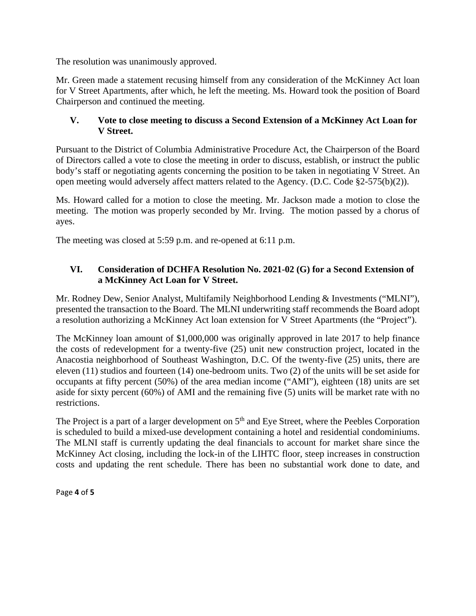The resolution was unanimously approved.

Mr. Green made a statement recusing himself from any consideration of the McKinney Act loan for V Street Apartments, after which, he left the meeting. Ms. Howard took the position of Board Chairperson and continued the meeting.

## **V. Vote to close meeting to discuss a Second Extension of a McKinney Act Loan for V Street.**

Pursuant to the District of Columbia Administrative Procedure Act, the Chairperson of the Board of Directors called a vote to close the meeting in order to discuss, establish, or instruct the public body's staff or negotiating agents concerning the position to be taken in negotiating V Street. An open meeting would adversely affect matters related to the Agency. (D.C. Code §2-575(b)(2)).

Ms. Howard called for a motion to close the meeting. Mr. Jackson made a motion to close the meeting. The motion was properly seconded by Mr. Irving. The motion passed by a chorus of ayes.

The meeting was closed at 5:59 p.m. and re-opened at 6:11 p.m.

# **VI. Consideration of DCHFA Resolution No. 2021-02 (G) for a Second Extension of a McKinney Act Loan for V Street.**

Mr. Rodney Dew, Senior Analyst, Multifamily Neighborhood Lending & Investments ("MLNI"), presented the transaction to the Board. The MLNI underwriting staff recommends the Board adopt a resolution authorizing a McKinney Act loan extension for V Street Apartments (the "Project").

The McKinney loan amount of \$1,000,000 was originally approved in late 2017 to help finance the costs of redevelopment for a twenty-five (25) unit new construction project, located in the Anacostia neighborhood of Southeast Washington, D.C. Of the twenty-five (25) units, there are eleven (11) studios and fourteen (14) one-bedroom units. Two (2) of the units will be set aside for occupants at fifty percent (50%) of the area median income ("AMI"), eighteen (18) units are set aside for sixty percent (60%) of AMI and the remaining five (5) units will be market rate with no restrictions.

The Project is a part of a larger development on  $5<sup>th</sup>$  and Eye Street, where the Peebles Corporation is scheduled to build a mixed-use development containing a hotel and residential condominiums. The MLNI staff is currently updating the deal financials to account for market share since the McKinney Act closing, including the lock-in of the LIHTC floor, steep increases in construction costs and updating the rent schedule. There has been no substantial work done to date, and

Page **4** of **5**